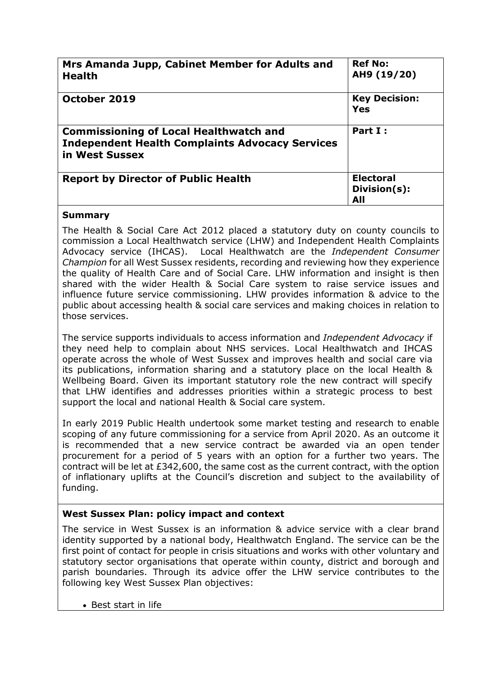| Mrs Amanda Jupp, Cabinet Member for Adults and<br><b>Health</b>                                                           | <b>Ref No:</b><br>AH9 (19/20)                  |
|---------------------------------------------------------------------------------------------------------------------------|------------------------------------------------|
| October 2019                                                                                                              | <b>Key Decision:</b><br>Yes                    |
| <b>Commissioning of Local Healthwatch and</b><br><b>Independent Health Complaints Advocacy Services</b><br>in West Sussex | Part I:                                        |
| <b>Report by Director of Public Health</b>                                                                                | <b>Electoral</b><br>Division(s):<br><b>All</b> |

## **Summary**

The Health & Social Care Act 2012 placed a statutory duty on county councils to commission a Local Healthwatch service (LHW) and Independent Health Complaints Advocacy service (IHCAS). Local Healthwatch are the *Independent Consumer Champion* for all West Sussex residents, recording and reviewing how they experience the quality of Health Care and of Social Care. LHW information and insight is then shared with the wider Health & Social Care system to raise service issues and influence future service commissioning. LHW provides information & advice to the public about accessing health & social care services and making choices in relation to those services.

The service supports individuals to access information and *Independent Advocacy* if they need help to complain about NHS services. Local Healthwatch and IHCAS operate across the whole of West Sussex and improves health and social care via its publications, information sharing and a statutory place on the local Health & Wellbeing Board. Given its important statutory role the new contract will specify that LHW identifies and addresses priorities within a strategic process to best support the local and national Health & Social care system.

In early 2019 Public Health undertook some market testing and research to enable scoping of any future commissioning for a service from April 2020. As an outcome it is recommended that a new service contract be awarded via an open tender procurement for a period of 5 years with an option for a further two years. The contract will be let at  $E342,600$ , the same cost as the current contract, with the option of inflationary uplifts at the Council's discretion and subject to the availability of funding.

# **West Sussex Plan: policy impact and context**

The service in West Sussex is an information & advice service with a clear brand identity supported by a national body, Healthwatch England. The service can be the first point of contact for people in crisis situations and works with other voluntary and statutory sector organisations that operate within county, district and borough and parish boundaries. Through its advice offer the LHW service contributes to the following key West Sussex Plan objectives:

• Best start in life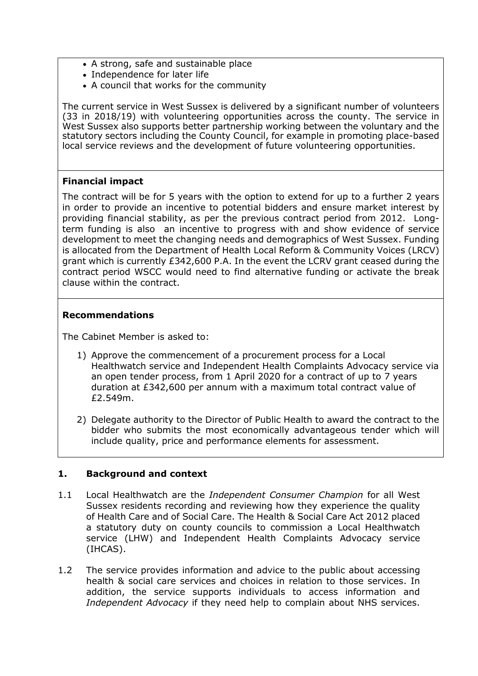- A strong, safe and sustainable place
- Independence for later life
- A council that works for the community

The current service in West Sussex is delivered by a significant number of volunteers (33 in 2018/19) with volunteering opportunities across the county. The service in West Sussex also supports better partnership working between the voluntary and the statutory sectors including the County Council, for example in promoting place-based local service reviews and the development of future volunteering opportunities.

### **Financial impact**

The contract will be for 5 years with the option to extend for up to a further 2 years in order to provide an incentive to potential bidders and ensure market interest by providing financial stability, as per the previous contract period from 2012. Longterm funding is also an incentive to progress with and show evidence of service development to meet the changing needs and demographics of West Sussex. Funding is allocated from the Department of Health Local Reform & Community Voices (LRCV) grant which is currently £342,600 P.A. In the event the LCRV grant ceased during the contract period WSCC would need to find alternative funding or activate the break clause within the contract.

### **Recommendations**

The Cabinet Member is asked to:

- 1) Approve the commencement of a procurement process for a Local Healthwatch service and Independent Health Complaints Advocacy service via an open tender process, from 1 April 2020 for a contract of up to 7 years duration at £342,600 per annum with a maximum total contract value of £2.549m.
- 2) Delegate authority to the Director of Public Health to award the contract to the bidder who submits the most economically advantageous tender which will include quality, price and performance elements for assessment.

### **1. Background and context**

- 1.1 Local Healthwatch are the *Independent Consumer Champion* for all West Sussex residents recording and reviewing how they experience the quality of Health Care and of Social Care. The Health & Social Care Act 2012 placed a statutory duty on county councils to commission a Local Healthwatch service (LHW) and Independent Health Complaints Advocacy service (IHCAS).
- 1.2 The service provides information and advice to the public about accessing health & social care services and choices in relation to those services. In addition, the service supports individuals to access information and *Independent Advocacy* if they need help to complain about NHS services.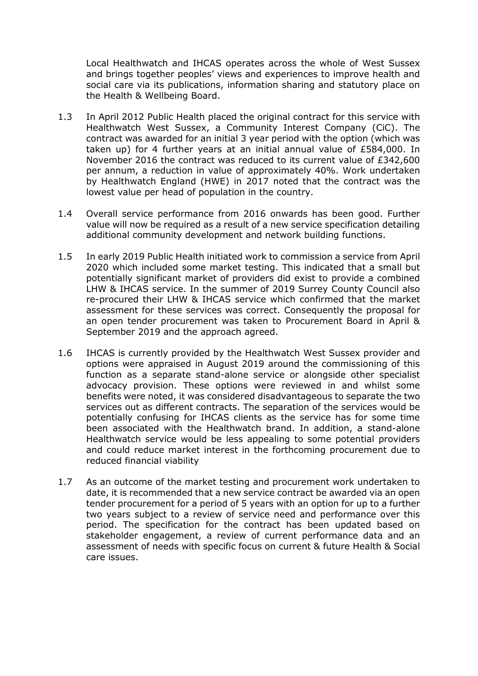Local Healthwatch and IHCAS operates across the whole of West Sussex and brings together peoples' views and experiences to improve health and social care via its publications, information sharing and statutory place on the Health & Wellbeing Board.

- 1.3 In April 2012 Public Health placed the original contract for this service with Healthwatch West Sussex, a Community Interest Company (CiC). The contract was awarded for an initial 3 year period with the option (which was taken up) for 4 further years at an initial annual value of £584,000. In November 2016 the contract was reduced to its current value of £342,600 per annum, a reduction in value of approximately 40%. Work undertaken by Healthwatch England (HWE) in 2017 noted that the contract was the lowest value per head of population in the country.
- 1.4 Overall service performance from 2016 onwards has been good. Further value will now be required as a result of a new service specification detailing additional community development and network building functions.
- 1.5 In early 2019 Public Health initiated work to commission a service from April 2020 which included some market testing. This indicated that a small but potentially significant market of providers did exist to provide a combined LHW & IHCAS service. In the summer of 2019 Surrey County Council also re-procured their LHW & IHCAS service which confirmed that the market assessment for these services was correct. Consequently the proposal for an open tender procurement was taken to Procurement Board in April & September 2019 and the approach agreed.
- 1.6 IHCAS is currently provided by the Healthwatch West Sussex provider and options were appraised in August 2019 around the commissioning of this function as a separate stand-alone service or alongside other specialist advocacy provision. These options were reviewed in and whilst some benefits were noted, it was considered disadvantageous to separate the two services out as different contracts. The separation of the services would be potentially confusing for IHCAS clients as the service has for some time been associated with the Healthwatch brand. In addition, a stand-alone Healthwatch service would be less appealing to some potential providers and could reduce market interest in the forthcoming procurement due to reduced financial viability
- 1.7 As an outcome of the market testing and procurement work undertaken to date, it is recommended that a new service contract be awarded via an open tender procurement for a period of 5 years with an option for up to a further two years subject to a review of service need and performance over this period. The specification for the contract has been updated based on stakeholder engagement, a review of current performance data and an assessment of needs with specific focus on current & future Health & Social care issues.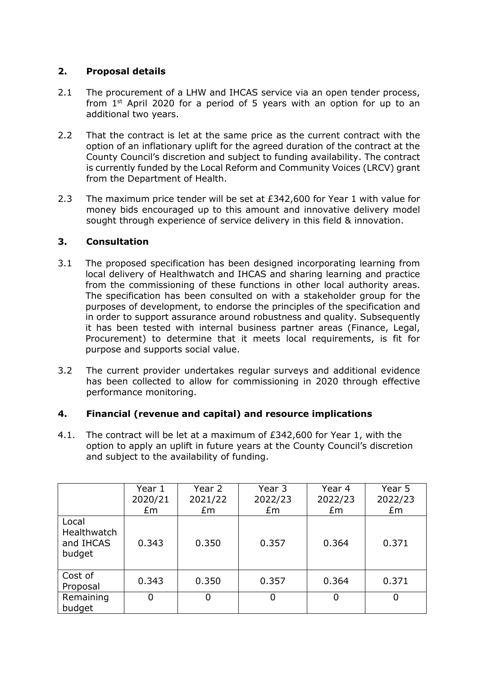# **2. Proposal details**

- 2.1 The procurement of a LHW and IHCAS service via an open tender process, from  $1<sup>st</sup>$  April 2020 for a period of 5 years with an option for up to an additional two years.
- 2.2 That the contract is let at the same price as the current contract with the option of an inflationary uplift for the agreed duration of the contract at the County Council's discretion and subject to funding availability. The contract is currently funded by the Local Reform and Community Voices (LRCV) grant from the Department of Health.
- 2.3 The maximum price tender will be set at £342,600 for Year 1 with value for money bids encouraged up to this amount and innovative delivery model sought through experience of service delivery in this field & innovation.

## **3. Consultation**

- 3.1 The proposed specification has been designed incorporating learning from local delivery of Healthwatch and IHCAS and sharing learning and practice from the commissioning of these functions in other local authority areas. The specification has been consulted on with a stakeholder group for the purposes of development, to endorse the principles of the specification and in order to support assurance around robustness and quality. Subsequently it has been tested with internal business partner areas (Finance, Legal, Procurement) to determine that it meets local requirements, is fit for purpose and supports social value.
- 3.2 The current provider undertakes regular surveys and additional evidence has been collected to allow for commissioning in 2020 through effective performance monitoring.

# **4. Financial (revenue and capital) and resource implications**

4.1. The contract will be let at a maximum of £342,600 for Year 1, with the option to apply an uplift in future years at the County Council's discretion and subject to the availability of funding.

|                                                    | Year 1<br>2020/21<br>Em | Year 2<br>2021/22<br>£m | Year 3<br>2022/23<br>Em | Year 4<br>2022/23<br>Em | Year 5<br>2022/23<br>£m |
|----------------------------------------------------|-------------------------|-------------------------|-------------------------|-------------------------|-------------------------|
| Local<br><b>Healthwatch</b><br>and IHCAS<br>budget | 0.343                   | 0.350                   | 0.357                   | 0.364                   | 0.371                   |
| Cost of<br>Proposal                                | 0.343                   | 0.350                   | 0.357                   | 0.364                   | 0.371                   |
| Remaining<br>budget                                | 0                       | 0                       | 0                       | 0                       | 0                       |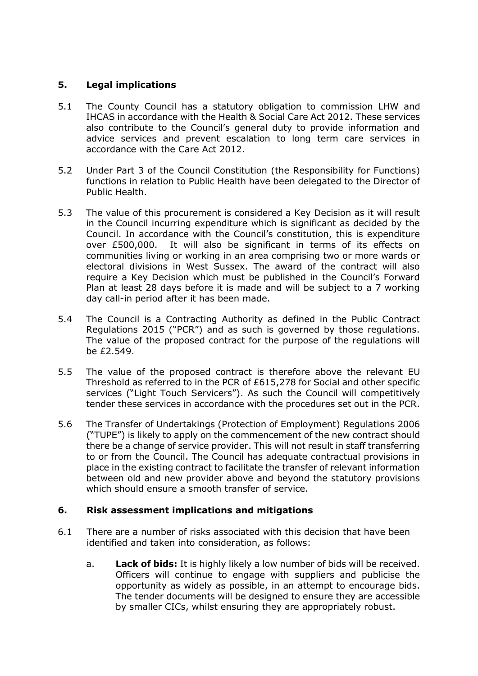### **5. Legal implications**

- 5.1 The County Council has a statutory obligation to commission LHW and IHCAS in accordance with the Health & Social Care Act 2012. These services also contribute to the Council's general duty to provide information and advice services and prevent escalation to long term care services in accordance with the Care Act 2012.
- 5.2 Under Part 3 of the Council Constitution (the Responsibility for Functions) functions in relation to Public Health have been delegated to the Director of Public Health.
- 5.3 The value of this procurement is considered a Key Decision as it will result in the Council incurring expenditure which is significant as decided by the Council. In accordance with the Council's constitution, this is expenditure over £500,000. It will also be significant in terms of its effects on communities living or working in an area comprising two or more wards or electoral divisions in West Sussex. The award of the contract will also require a Key Decision which must be published in the Council's Forward Plan at least 28 days before it is made and will be subject to a 7 working day call-in period after it has been made.
- 5.4 The Council is a Contracting Authority as defined in the Public Contract Regulations 2015 ("PCR") and as such is governed by those regulations. The value of the proposed contract for the purpose of the regulations will be £2.549.
- 5.5 The value of the proposed contract is therefore above the relevant EU Threshold as referred to in the PCR of £615,278 for Social and other specific services ("Light Touch Servicers"). As such the Council will competitively tender these services in accordance with the procedures set out in the PCR.
- 5.6 The Transfer of Undertakings (Protection of Employment) Regulations 2006 ("TUPE") is likely to apply on the commencement of the new contract should there be a change of service provider. This will not result in staff transferring to or from the Council. The Council has adequate contractual provisions in place in the existing contract to facilitate the transfer of relevant information between old and new provider above and beyond the statutory provisions which should ensure a smooth transfer of service.

### **6. Risk assessment implications and mitigations**

- 6.1 There are a number of risks associated with this decision that have been identified and taken into consideration, as follows:
	- a. **Lack of bids:** It is highly likely a low number of bids will be received. Officers will continue to engage with suppliers and publicise the opportunity as widely as possible, in an attempt to encourage bids. The tender documents will be designed to ensure they are accessible by smaller CICs, whilst ensuring they are appropriately robust.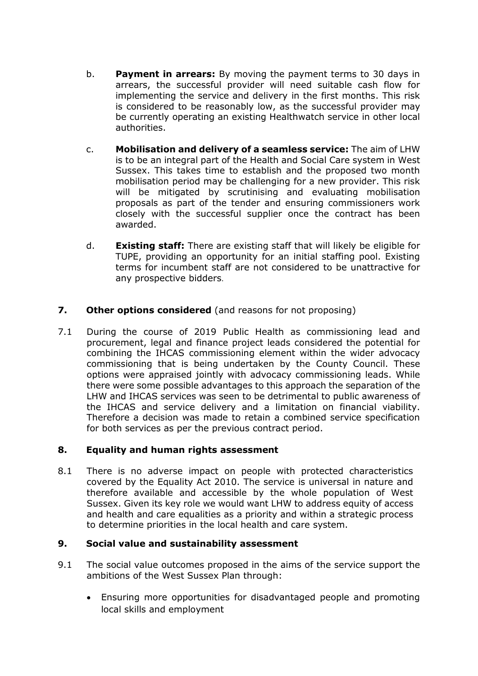- b. **Payment in arrears:** By moving the payment terms to 30 days in arrears, the successful provider will need suitable cash flow for implementing the service and delivery in the first months. This risk is considered to be reasonably low, as the successful provider may be currently operating an existing Healthwatch service in other local authorities.
- c. **Mobilisation and delivery of a seamless service:** The aim of LHW is to be an integral part of the Health and Social Care system in West Sussex. This takes time to establish and the proposed two month mobilisation period may be challenging for a new provider. This risk will be mitigated by scrutinising and evaluating mobilisation proposals as part of the tender and ensuring commissioners work closely with the successful supplier once the contract has been awarded.
- d. **Existing staff:** There are existing staff that will likely be eligible for TUPE, providing an opportunity for an initial staffing pool. Existing terms for incumbent staff are not considered to be unattractive for any prospective bidders.

## **7. Other options considered** (and reasons for not proposing)

7.1 During the course of 2019 Public Health as commissioning lead and procurement, legal and finance project leads considered the potential for combining the IHCAS commissioning element within the wider advocacy commissioning that is being undertaken by the County Council. These options were appraised jointly with advocacy commissioning leads. While there were some possible advantages to this approach the separation of the LHW and IHCAS services was seen to be detrimental to public awareness of the IHCAS and service delivery and a limitation on financial viability. Therefore a decision was made to retain a combined service specification for both services as per the previous contract period.

# **8. Equality and human rights assessment**

8.1 There is no adverse impact on people with protected characteristics covered by the Equality Act 2010. The service is universal in nature and therefore available and accessible by the whole population of West Sussex. Given its key role we would want LHW to address equity of access and health and care equalities as a priority and within a strategic process to determine priorities in the local health and care system.

### **9. Social value and sustainability assessment**

- 9.1 The social value outcomes proposed in the aims of the service support the ambitions of the West Sussex Plan through:
	- Ensuring more opportunities for disadvantaged people and promoting local skills and employment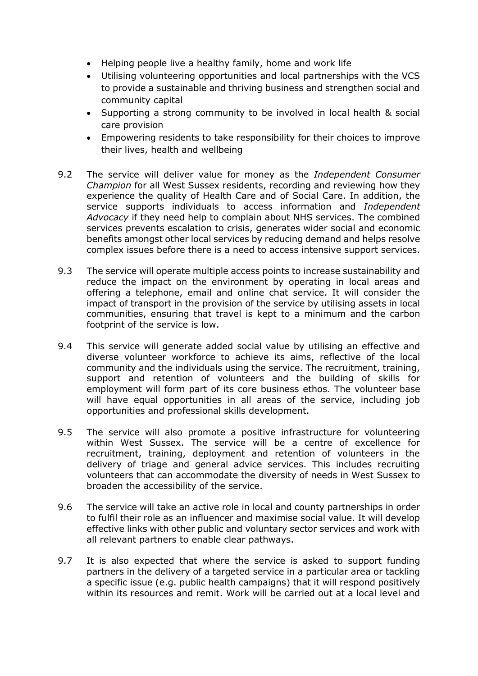- Helping people live a healthy family, home and work life
- Utilising volunteering opportunities and local partnerships with the VCS to provide a sustainable and thriving business and strengthen social and community capital
- Supporting a strong community to be involved in local health & social care provision
- Empowering residents to take responsibility for their choices to improve their lives, health and wellbeing
- 9.2 The service will deliver value for money as the *Independent Consumer Champion* for all West Sussex residents, recording and reviewing how they experience the quality of Health Care and of Social Care. In addition, the service supports individuals to access information and *Independent Advocacy* if they need help to complain about NHS services. The combined services prevents escalation to crisis, generates wider social and economic benefits amongst other local services by reducing demand and helps resolve complex issues before there is a need to access intensive support services.
- 9.3 The service will operate multiple access points to increase sustainability and reduce the impact on the environment by operating in local areas and offering a telephone, email and online chat service. It will consider the impact of transport in the provision of the service by utilising assets in local communities, ensuring that travel is kept to a minimum and the carbon footprint of the service is low.
- 9.4 This service will generate added social value by utilising an effective and diverse volunteer workforce to achieve its aims, reflective of the local community and the individuals using the service. The recruitment, training, support and retention of volunteers and the building of skills for employment will form part of its core business ethos. The volunteer base will have equal opportunities in all areas of the service, including job opportunities and professional skills development.
- 9.5 The service will also promote a positive infrastructure for volunteering within West Sussex. The service will be a centre of excellence for recruitment, training, deployment and retention of volunteers in the delivery of triage and general advice services. This includes recruiting volunteers that can accommodate the diversity of needs in West Sussex to broaden the accessibility of the service.
- 9.6 The service will take an active role in local and county partnerships in order to fulfil their role as an influencer and maximise social value. It will develop effective links with other public and voluntary sector services and work with all relevant partners to enable clear pathways.
- 9.7 It is also expected that where the service is asked to support funding partners in the delivery of a targeted service in a particular area or tackling a specific issue (e.g. public health campaigns) that it will respond positively within its resources and remit. Work will be carried out at a local level and